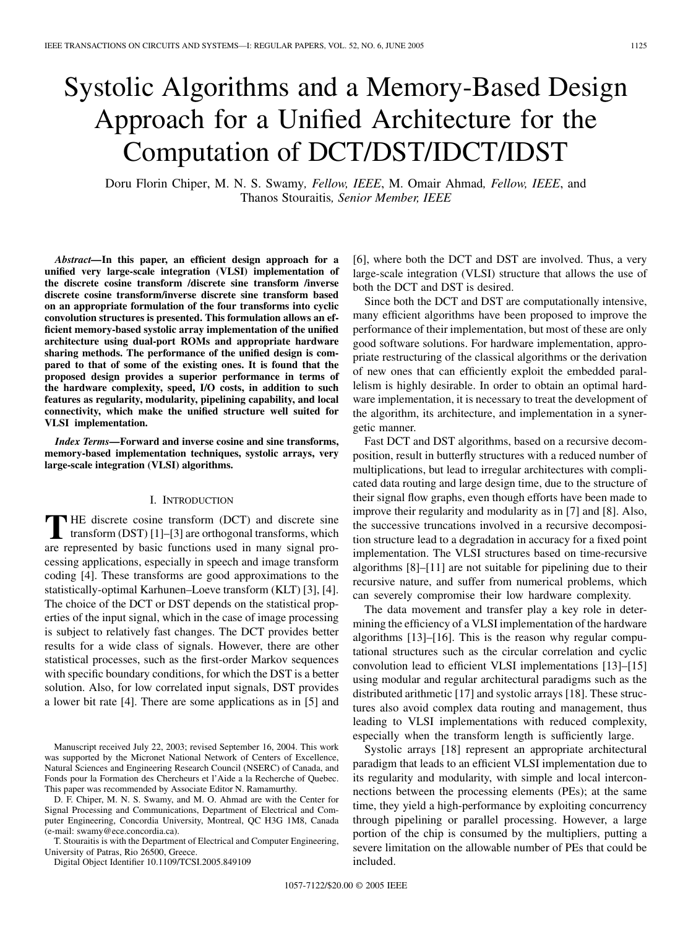# Systolic Algorithms and a Memory-Based Design Approach for a Unified Architecture for the Computation of DCT/DST/IDCT/IDST

Doru Florin Chiper, M. N. S. Swamy*, Fellow, IEEE*, M. Omair Ahmad*, Fellow, IEEE*, and Thanos Stouraitis*, Senior Member, IEEE*

*Abstract—***In this paper, an efficient design approach for a unified very large-scale integration (VLSI) implementation of the discrete cosine transform /discrete sine transform /inverse discrete cosine transform/inverse discrete sine transform based on an appropriate formulation of the four transforms into cyclic convolution structures is presented. This formulation allows an efficient memory-based systolic array implementation of the unified architecture using dual-port ROMs and appropriate hardware sharing methods. The performance of the unified design is compared to that of some of the existing ones. It is found that the proposed design provides a superior performance in terms of the hardware complexity, speed, I/O costs, in addition to such features as regularity, modularity, pipelining capability, and local connectivity, which make the unified structure well suited for VLSI implementation.**

*Index Terms—***Forward and inverse cosine and sine transforms, memory-based implementation techniques, systolic arrays, very large-scale integration (VLSI) algorithms.**

# I. INTRODUCTION

**T** HE discrete cosine transform (DCT) and discrete sine<br>transform (DST) [[1\]](#page-11-0)–[\[3](#page-11-0)] are orthogonal transforms, which are represented by basic functions used in many signal processing applications, especially in speech and image transform coding [\[4](#page-11-0)]. These transforms are good approximations to the statistically-optimal Karhunen–Loeve transform (KLT) [\[3](#page-11-0)], [\[4](#page-11-0)]. The choice of the DCT or DST depends on the statistical properties of the input signal, which in the case of image processing is subject to relatively fast changes. The DCT provides better results for a wide class of signals. However, there are other statistical processes, such as the first-order Markov sequences with specific boundary conditions, for which the DST is a better solution. Also, for low correlated input signals, DST provides a lower bit rate [\[4](#page-11-0)]. There are some applications as in [\[5](#page-11-0)] and

D. F. Chiper, M. N. S. Swamy, and M. O. Ahmad are with the Center for Signal Processing and Communications, Department of Electrical and Computer Engineering, Concordia University, Montreal, QC H3G 1M8, Canada (e-mail: swamy@ece.concordia.ca).

T. Stouraitis is with the Department of Electrical and Computer Engineering, University of Patras, Rio 26500, Greece.

Digital Object Identifier 10.1109/TCSI.2005.849109

[\[6](#page-11-0)], where both the DCT and DST are involved. Thus, a very large-scale integration (VLSI) structure that allows the use of both the DCT and DST is desired.

Since both the DCT and DST are computationally intensive, many efficient algorithms have been proposed to improve the performance of their implementation, but most of these are only good software solutions. For hardware implementation, appropriate restructuring of the classical algorithms or the derivation of new ones that can efficiently exploit the embedded parallelism is highly desirable. In order to obtain an optimal hardware implementation, it is necessary to treat the development of the algorithm, its architecture, and implementation in a synergetic manner.

Fast DCT and DST algorithms, based on a recursive decomposition, result in butterfly structures with a reduced number of multiplications, but lead to irregular architectures with complicated data routing and large design time, due to the structure of their signal flow graphs, even though efforts have been made to improve their regularity and modularity as in [\[7](#page-11-0)] and [[8](#page-11-0)]. Also, the successive truncations involved in a recursive decomposition structure lead to a degradation in accuracy for a fixed point implementation. The VLSI structures based on time-recursive algorithms [\[8](#page-11-0)]–[[11\]](#page-11-0) are not suitable for pipelining due to their recursive nature, and suffer from numerical problems, which can severely compromise their low hardware complexity.

The data movement and transfer play a key role in determining the efficiency of a VLSI implementation of the hardware algorithms [[13\]](#page-11-0)–[\[16](#page-11-0)]. This is the reason why regular computational structures such as the circular correlation and cyclic convolution lead to efficient VLSI implementations [\[13](#page-11-0)]–[[15\]](#page-11-0) using modular and regular architectural paradigms such as the distributed arithmetic [[17](#page-11-0)] and systolic arrays [[18\]](#page-11-0). These structures also avoid complex data routing and management, thus leading to VLSI implementations with reduced complexity, especially when the transform length is sufficiently large.

Systolic arrays [[18\]](#page-11-0) represent an appropriate architectural paradigm that leads to an efficient VLSI implementation due to its regularity and modularity, with simple and local interconnections between the processing elements (PEs); at the same time, they yield a high-performance by exploiting concurrency through pipelining or parallel processing. However, a large portion of the chip is consumed by the multipliers, putting a severe limitation on the allowable number of PEs that could be included.

Manuscript received July 22, 2003; revised September 16, 2004. This work was supported by the Micronet National Network of Centers of Excellence, Natural Sciences and Engineering Research Council (NSERC) of Canada, and Fonds pour la Formation des Chercheurs et l'Aide a la Recherche of Quebec. This paper was recommended by Associate Editor N. Ramamurthy.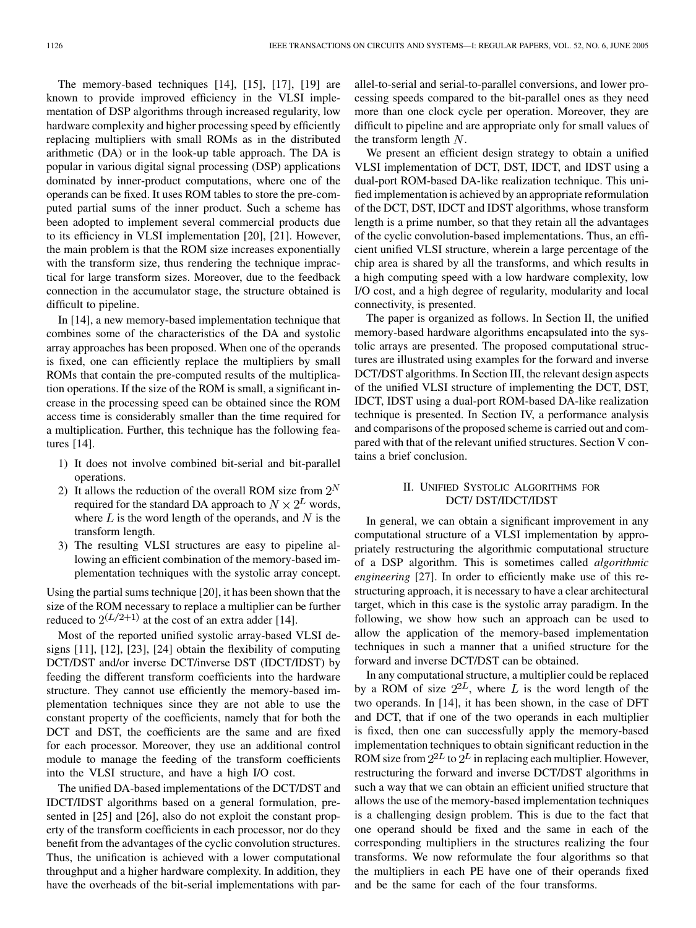The memory-based techniques [\[14](#page-11-0)], [[15\]](#page-11-0), [\[17](#page-11-0)], [[19\]](#page-11-0) are known to provide improved efficiency in the VLSI implementation of DSP algorithms through increased regularity, low hardware complexity and higher processing speed by efficiently replacing multipliers with small ROMs as in the distributed arithmetic (DA) or in the look-up table approach. The DA is popular in various digital signal processing (DSP) applications dominated by inner-product computations, where one of the operands can be fixed. It uses ROM tables to store the pre-computed partial sums of the inner product. Such a scheme has been adopted to implement several commercial products due to its efficiency in VLSI implementation [\[20](#page-11-0)], [[21\]](#page-11-0). However, the main problem is that the ROM size increases exponentially with the transform size, thus rendering the technique impractical for large transform sizes. Moreover, due to the feedback connection in the accumulator stage, the structure obtained is difficult to pipeline.

In [[14\]](#page-11-0), a new memory-based implementation technique that combines some of the characteristics of the DA and systolic array approaches has been proposed. When one of the operands is fixed, one can efficiently replace the multipliers by small ROMs that contain the pre-computed results of the multiplication operations. If the size of the ROM is small, a significant increase in the processing speed can be obtained since the ROM access time is considerably smaller than the time required for a multiplication. Further, this technique has the following features [\[14](#page-11-0)].

- 1) It does not involve combined bit-serial and bit-parallel operations.
- 2) It allows the reduction of the overall ROM size from  $2^N$ required for the standard DA approach to  $N \times 2^L$  words, where  $L$  is the word length of the operands, and  $N$  is the transform length.
- 3) The resulting VLSI structures are easy to pipeline allowing an efficient combination of the memory-based implementation techniques with the systolic array concept.

Using the partial sums technique [\[20](#page-11-0)], it has been shown that the size of the ROM necessary to replace a multiplier can be further reduced to  $2^{(L/2+1)}$  at the cost of an extra adder [\[14](#page-11-0)].

Most of the reported unified systolic array-based VLSI designs [[11\]](#page-11-0), [\[12](#page-11-0)], [[23\]](#page-11-0), [\[24](#page-11-0)] obtain the flexibility of computing DCT/DST and/or inverse DCT/inverse DST (IDCT/IDST) by feeding the different transform coefficients into the hardware structure. They cannot use efficiently the memory-based implementation techniques since they are not able to use the constant property of the coefficients, namely that for both the DCT and DST, the coefficients are the same and are fixed for each processor. Moreover, they use an additional control module to manage the feeding of the transform coefficients into the VLSI structure, and have a high I/O cost.

The unified DA-based implementations of the DCT/DST and IDCT/IDST algorithms based on a general formulation, presented in [\[25](#page-11-0)] and [[26\]](#page-11-0), also do not exploit the constant property of the transform coefficients in each processor, nor do they benefit from the advantages of the cyclic convolution structures. Thus, the unification is achieved with a lower computational throughput and a higher hardware complexity. In addition, they have the overheads of the bit-serial implementations with parallel-to-serial and serial-to-parallel conversions, and lower processing speeds compared to the bit-parallel ones as they need more than one clock cycle per operation. Moreover, they are difficult to pipeline and are appropriate only for small values of the transform length  $N$ .

We present an efficient design strategy to obtain a unified VLSI implementation of DCT, DST, IDCT, and IDST using a dual-port ROM-based DA-like realization technique. This unified implementation is achieved by an appropriate reformulation of the DCT, DST, IDCT and IDST algorithms, whose transform length is a prime number, so that they retain all the advantages of the cyclic convolution-based implementations. Thus, an efficient unified VLSI structure, wherein a large percentage of the chip area is shared by all the transforms, and which results in a high computing speed with a low hardware complexity, low I/O cost, and a high degree of regularity, modularity and local connectivity, is presented.

The paper is organized as follows. In Section II, the unified memory-based hardware algorithms encapsulated into the systolic arrays are presented. The proposed computational structures are illustrated using examples for the forward and inverse DCT/DST algorithms. In Section III, the relevant design aspects of the unified VLSI structure of implementing the DCT, DST, IDCT, IDST using a dual-port ROM-based DA-like realization technique is presented. In Section IV, a performance analysis and comparisons of the proposed scheme is carried out and compared with that of the relevant unified structures. Section V contains a brief conclusion.

# II. UNIFIED SYSTOLIC ALGORITHMS FOR DCT/ DST/IDCT/IDST

In general, we can obtain a significant improvement in any computational structure of a VLSI implementation by appropriately restructuring the algorithmic computational structure of a DSP algorithm. This is sometimes called *algorithmic engineering* [\[27](#page-11-0)]. In order to efficiently make use of this restructuring approach, it is necessary to have a clear architectural target, which in this case is the systolic array paradigm. In the following, we show how such an approach can be used to allow the application of the memory-based implementation techniques in such a manner that a unified structure for the forward and inverse DCT/DST can be obtained.

In any computational structure, a multiplier could be replaced by a ROM of size  $2^{2L}$ , where L is the word length of the two operands. In [[14\]](#page-11-0), it has been shown, in the case of DFT and DCT, that if one of the two operands in each multiplier is fixed, then one can successfully apply the memory-based implementation techniques to obtain significant reduction in the ROM size from  $2^{2L}$  to  $2^L$  in replacing each multiplier. However, restructuring the forward and inverse DCT/DST algorithms in such a way that we can obtain an efficient unified structure that allows the use of the memory-based implementation techniques is a challenging design problem. This is due to the fact that one operand should be fixed and the same in each of the corresponding multipliers in the structures realizing the four transforms. We now reformulate the four algorithms so that the multipliers in each PE have one of their operands fixed and be the same for each of the four transforms.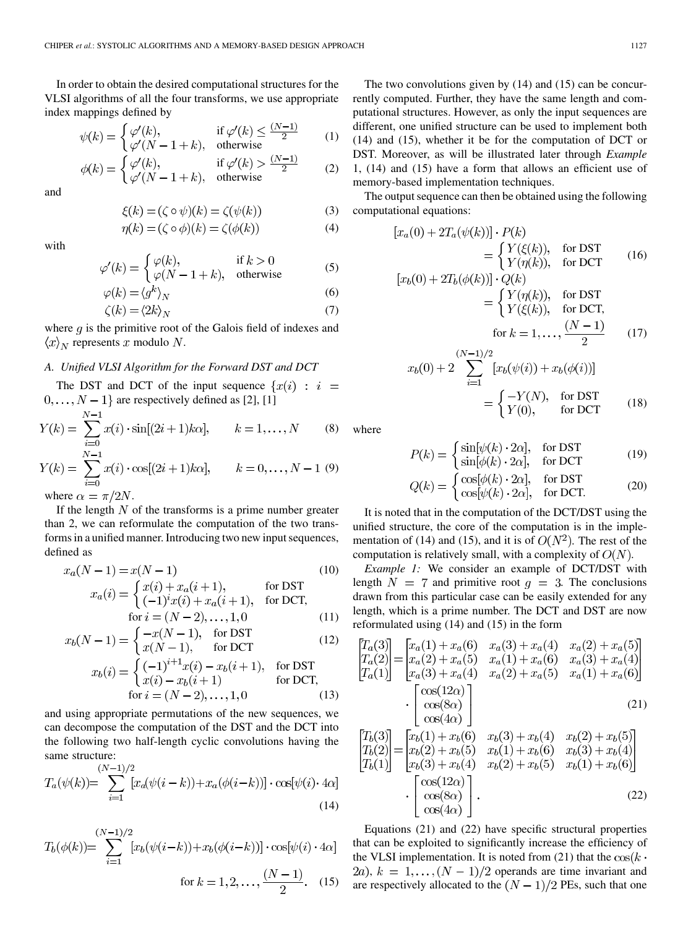In order to obtain the desired computational structures for the VLSI algorithms of all the four transforms, we use appropriate index mappings defined by

$$
\psi(k) = \begin{cases} \varphi'(k), & \text{if } \varphi'(k) \le \frac{(N-1)}{2} \\ \varphi'(N-1+k), & \text{otherwise} \end{cases} \tag{1}
$$

$$
\phi(k) = \begin{cases} \varphi'(k), & \text{if } \varphi'(k) > \frac{(N-1)}{2} \\ \varphi'(N-1+k), & \text{otherwise} \end{cases} \tag{2}
$$

and

$$
\xi(k) = (\zeta \circ \psi)(k) = \zeta(\psi(k))
$$
\n
$$
\eta(k) = (\zeta \circ \phi)(k) = \zeta(\phi(k))
$$
\n(3)

$$
\eta(k) = (\zeta \circ \phi)(k) = \zeta(\phi(k)) \tag{4}
$$

with

$$
\varphi'(k) = \begin{cases} \varphi(k), & \text{if } k > 0\\ \varphi(N - 1 + k), & \text{otherwise} \end{cases}
$$
 (5)

$$
\varphi(k) = \langle g^k \rangle_N \tag{6}
$$

$$
\zeta(k) = \langle 2k \rangle_N \tag{7}
$$

where  $g$  is the primitive root of the Galois field of indexes and  $\langle x \rangle_N$  represents x modulo N.

# *A. Unified VLSI Algorithm for the Forward DST and DCT*

The DST and DCT of the input sequence  $\{x(i) : i =$  $0, \ldots, N-1$  are respectively defined as [[2\]](#page-11-0), [\[1](#page-11-0)]

$$
Y(k) = \sum_{i=0}^{N-1} x(i) \cdot \sin[(2i+1)k\alpha], \qquad k = 1, ..., N
$$
 (8)

$$
Y(k) = \sum_{i=0} x(i) \cdot \cos[(2i+1)k\alpha], \qquad k = 0, \dots, N-1 \tag{9}
$$

where  $\alpha = \pi/2N$ .

If the length  $N$  of the transforms is a prime number greater than 2, we can reformulate the computation of the two transforms in a unified manner. Introducing two new input sequences, defined as

$$
x_a(N-1) = x(N-1)
$$
 (10)  

$$
x_a(i) = \begin{cases} x(i) + x_a(i+1), & \text{for DST} \\ x(a(i)) + x(a(i+1)) & \text{for DST} \end{cases}
$$

$$
y =
$$
 (-1)<sup>*x*</sup> $(i)$  + *x*<sub>*a*</sub> $(i + 1)$ , for DCT,  
for *i* = (*N* – 2),...,1,0 (11)

$$
x_b(N-1) = \begin{cases} -x(N-1), & \text{for DST} \\ x(N-1), & \text{for DCT} \end{cases}
$$
 (12)

$$
x_b(i) = \begin{cases} (-1)^{i+1} x(i) - x_b(i+1), & \text{for DST} \\ x(i) - x_b(i+1) & \text{for DCT,} \\ \text{for } i = (N-2), \dots, 1, 0 \end{cases}
$$
(13)

and using appropriate permutations of the new sequences, we can decompose the computation of the DST and the DCT into the following two half-length cyclic convolutions having the same structure:

$$
T_a(\psi(k)) = \sum_{i=1}^{(N-1)/2} [x_a(\psi(i-k)) + x_a(\phi(i-k))] \cdot \cos[\psi(i) \cdot 4\alpha]
$$
\n(14)

$$
T_b(\phi(k)) = \sum_{i=1}^{(N-1)/2} [x_b(\psi(i-k)) + x_b(\phi(i-k))] \cdot \cos[\psi(i) \cdot 4\alpha]
$$
  
for  $k = 1, 2, ..., \frac{(N-1)}{2}$ . (15)

The two convolutions given by (14) and (15) can be concurrently computed. Further, they have the same length and computational structures. However, as only the input sequences are different, one unified structure can be used to implement both (14) and (15), whether it be for the computation of DCT or DST. Moreover, as will be illustrated later through *Example* 1, (14) and (15) have a form that allows an efficient use of memory-based implementation techniques.

The output sequence can then be obtained using the following computational equations:

$$
[x_a(0) + 2T_a(\psi(k))] \cdot P(k)
$$
  
= 
$$
\begin{cases} Y(\xi(k)), & \text{for } \text{DST} \\ Y(\eta(k)), & \text{for } \text{DCT} \end{cases}
$$
 (16)  

$$
[x_b(0) + 2T_b(\phi(k))] \cdot Q(k)
$$

$$
E_b(0) + 2T_b(\phi(k))] \cdot Q(k)
$$
  
= 
$$
\begin{cases} Y(\eta(k)), & \text{for DST} \\ Y(\xi(k)), & \text{for DCT,} \end{cases}
$$
  
for  $k = 1, ..., \frac{(N-1)}{2}$  (17)

$$
x_b(0) + 2\sum_{i=1}^{(N-1)/2} [x_b(\psi(i)) + x_b(\phi(i))]
$$
  
= 
$$
\begin{cases} -Y(N), & \text{for DST} \\ Y(0), & \text{for DCT} \end{cases}
$$
 (18)

where

$$
P(k) = \begin{cases} \sin[\psi(k) \cdot 2\alpha], & \text{for DST} \\ \sin[\phi(k) \cdot 2\alpha], & \text{for DCT} \end{cases}
$$
(19)

$$
Q(k) = \begin{cases} \cos[\phi(k) \cdot 2\alpha], & \text{for DST} \\ \cos[\psi(k) \cdot 2\alpha], & \text{for DCT.} \end{cases}
$$
 (20)

It is noted that in the computation of the DCT/DST using the unified structure, the core of the computation is in the implementation of (14) and (15), and it is of  $O(N^2)$ . The rest of the computation is relatively small, with a complexity of  $O(N)$ .

*Example 1:* We consider an example of DCT/DST with length  $N = 7$  and primitive root  $q = 3$ . The conclusions drawn from this particular case can be easily extended for any length, which is a prime number. The DCT and DST are now reformulated using (14) and (15) in the form

$$
\begin{bmatrix}\nT_a(3) \\
T_a(2) \\
T_a(1)\n\end{bmatrix} =\n\begin{bmatrix}\nx_a(1) + x_a(6) & x_a(3) + x_a(4) & x_a(2) + x_a(5) \\
x_a(2) + x_a(5) & x_a(1) + x_a(6) & x_a(3) + x_a(4) \\
x_a(3) + x_a(4) & x_a(2) + x_a(5) & x_a(1) + x_a(6)\n\end{bmatrix}\n\cdot\n\begin{bmatrix}\n\cos(12\alpha) \\
\cos(8\alpha) \\
\cos(4\alpha)\n\end{bmatrix}\n\cdot\n\begin{bmatrix}\nT_b(3) \\
T_b(2) \\
T_b(2)\n\end{bmatrix} =\n\begin{bmatrix}\nx_b(1) + x_b(6) & x_b(3) + x_b(4) & x_b(2) + x_b(5) \\
x_b(3) + x_b(4) & x_b(2) + x_b(6) & x_b(3) + x_b(4) \\
x_b(3) + x_b(4) & x_b(2) + x_b(5) & x_b(1) + x_b(6)\n\end{bmatrix}
$$
\n
$$
\begin{bmatrix}\n\cos(12\alpha) \\
\cos(12\alpha)\n\end{bmatrix}
$$

$$
\left[\begin{array}{c}\n\cos(12\alpha) \\
\cos(8\alpha) \\
\cos(4\alpha)\n\end{array}\right].
$$
\n(22)

Equations (21) and (22) have specific structural properties that can be exploited to significantly increase the efficiency of the VLSI implementation. It is noted from (21) that the  $\cos(k \cdot \theta)$ 2a),  $k = 1, \ldots, (N-1)/2$  operands are time invariant and are respectively allocated to the  $(N-1)/2$  PEs, such that one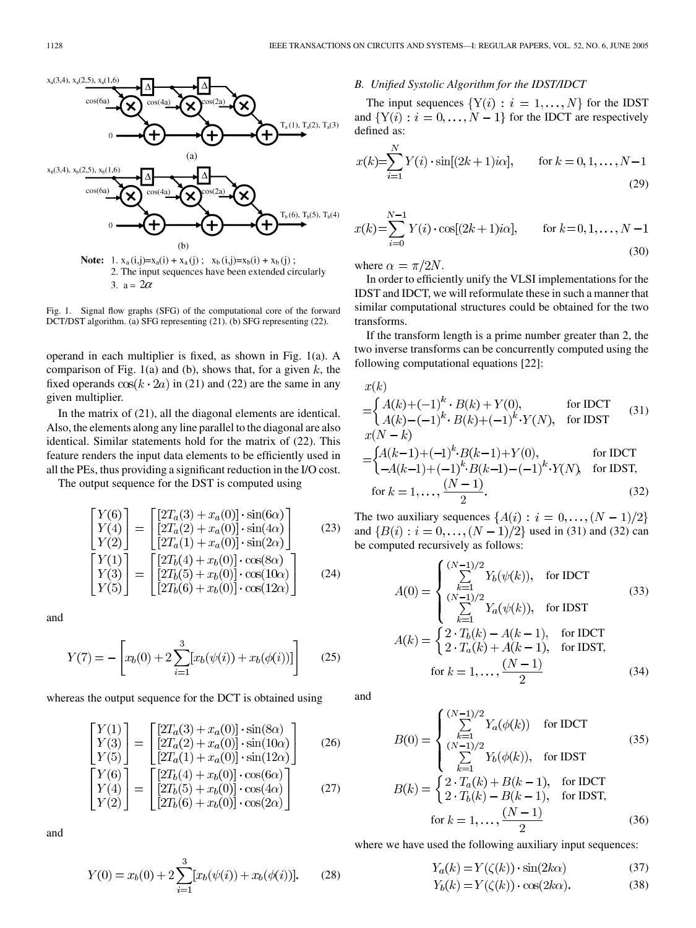

Fig. 1. Signal flow graphs (SFG) of the computational core of the forward DCT/DST algorithm. (a) SFG representing (21). (b) SFG representing (22).

operand in each multiplier is fixed, as shown in Fig. 1(a). A comparison of Fig. 1(a) and (b), shows that, for a given  $k$ , the fixed operands  $\cos(k \cdot 2a)$  in (21) and (22) are the same in any given multiplier.

In the matrix of (21), all the diagonal elements are identical. Also, the elements along any line parallel to the diagonal are also identical. Similar statements hold for the matrix of (22). This feature renders the input data elements to be efficiently used in all the PEs, thus providing a significant reduction in the I/O cost.

The output sequence for the DST is computed using

$$
\begin{bmatrix}\nY(6) \\
Y(4) \\
Y(2)\n\end{bmatrix} = \begin{bmatrix}\n[2T_a(3) + x_a(0)] \cdot \sin(6\alpha) \\
[2T_a(2) + x_a(0)] \cdot \sin(4\alpha) \\
[2T_a(1) + x_a(0)] \cdot \sin(2\alpha)\n\end{bmatrix}
$$
\n(23)\n
$$
\begin{bmatrix}\nY(1) \\
Y(3) \\
Y(5)\n\end{bmatrix} = \begin{bmatrix}\n[2T_b(4) + x_b(0)] \cdot \cos(8\alpha) \\
[2T_b(5) + x_b(0)] \cdot \cos(10\alpha) \\
[2T_b(6) + x_b(0)] \cdot \cos(12\alpha)\n\end{bmatrix}
$$
\n(24)

and

$$
Y(7) = -\left[x_b(0) + 2\sum_{i=1}^{3} [x_b(\psi(i)) + x_b(\phi(i))]\right]
$$
 (25)

whereas the output sequence for the DCT is obtained using

$$
\begin{bmatrix} Y(1) \\ Y(3) \\ Y(5) \end{bmatrix} = \begin{bmatrix} [2T_a(3) + x_a(0)] \cdot \sin(8\alpha) \\ [2T_a(2) + x_a(0)] \cdot \sin(10\alpha) \\ [2T_a(1) + x_a(0)] \cdot \sin(12\alpha) \end{bmatrix}
$$
 (26)  

$$
\begin{bmatrix} Y(6) \\ Y(4) \\ Y(2) \end{bmatrix} = \begin{bmatrix} [2T_b(4) + x_b(0)] \cdot \cos(6\alpha) \\ [2T_b(5) + x_b(0)] \cdot \cos(4\alpha) \\ [2T_b(6) + x_b(0)] \cdot \cos(2\alpha) \end{bmatrix}
$$
 (27)

and

$$
Y(0) = x_b(0) + 2\sum_{i=1}^{3} [x_b(\psi(i)) + x_b(\phi(i))].
$$
 (28)

# *B. Unified Systolic Algorithm for the IDST/IDCT*

The input sequences  $\{Y(i): i = 1, ..., N\}$  for the IDST and  $\{Y(i): i = 0, ..., N-1\}$  for the IDCT are respectively defined as:

$$
x(k) = \sum_{i=1}^{N} Y(i) \cdot \sin[(2k+1)i\alpha], \quad \text{for } k = 0, 1, ..., N-1
$$
\n(29)

$$
x(k) = \sum_{i=0}^{N-1} Y(i) \cdot \cos[(2k+1)i\alpha], \quad \text{for } k = 0, 1, \dots, N-1
$$
\n(30)

where  $\alpha = \pi/2N$ .

 $(1)$ 

In order to efficiently unify the VLSI implementations for the IDST and IDCT, we will reformulate these in such a manner that similar computational structures could be obtained for the two transforms.

If the transform length is a prime number greater than 2, the two inverse transforms can be concurrently computed using the following computational equations [[22\]](#page-11-0):

$$
x(k)
$$
  
=  $\begin{cases} A(k)+(-1)^k \cdot B(k)+Y(0), & \text{for IDCT} \\ A(k)-(-1)^k \cdot B(k)+(-1)^k \cdot Y(N), & \text{for IDST} \end{cases}$  (31)  
=  $\begin{cases} A(k-1)+(-1)^k \cdot B(k-1)+Y(0), & \text{for IDCT} \\ -A(k-1)+(-1)^k \cdot B(k-1)-(-1)^k \cdot Y(N), & \text{for IDST,} \end{cases}$   
for  $k = 1, ..., \frac{(N-1)}{2}$ . (32)

The two auxiliary sequences  $\{A(i): i = 0, \ldots, (N-1)/2\}$ and  ${B(i) : i = 0, ..., (N-1)/2}$  used in (31) and (32) can be computed recursively as follows:

$$
A(0) = \begin{cases} \sum_{k=1}^{(N-1)/2} Y_b(\psi(k)), & \text{for IDCT} \\ \sum_{k=1}^{(N-1)/2} Y_a(\psi(k)), & \text{for IDST} \end{cases}
$$
(33)  

$$
A(k) = \begin{cases} 2 \cdot T_b(k) - A(k-1), & \text{for IDCT} \\ 2 \cdot T_a(k) + A(k-1), & \text{for IDST,} \end{cases}
$$
for  $k = 1, ..., \frac{(N-1)}{2}$  (34)

and

$$
B(0) = \begin{cases} \sum_{k=1}^{(N-1)/2} Y_a(\phi(k)) & \text{for IDCT} \\ \sum_{k=1}^{(N-1)/2} Y_b(\phi(k)), & \text{for IDST} \end{cases}
$$
(35)  

$$
B(k) = \begin{cases} 2 \cdot T_a(k) + B(k-1), & \text{for IDCT} \\ 2 \cdot T_b(k) - B(k-1), & \text{for IDST,} \end{cases}
$$
  
for  $k = 1, ..., \frac{(N-1)}{2}$  (36)

where we have used the following auxiliary input sequences:  $\sim 10$ 

$$
Y_a(k) = Y(\zeta(k)) \cdot \sin(2k\alpha)
$$
 (37)  
\n
$$
Y_b(k) = Y(\zeta(k)) \cdot \cos(2k\alpha).
$$
 (38)

$$
Y_b(k) = Y(\zeta(k)) \cdot \cos(2k\alpha). \tag{38}
$$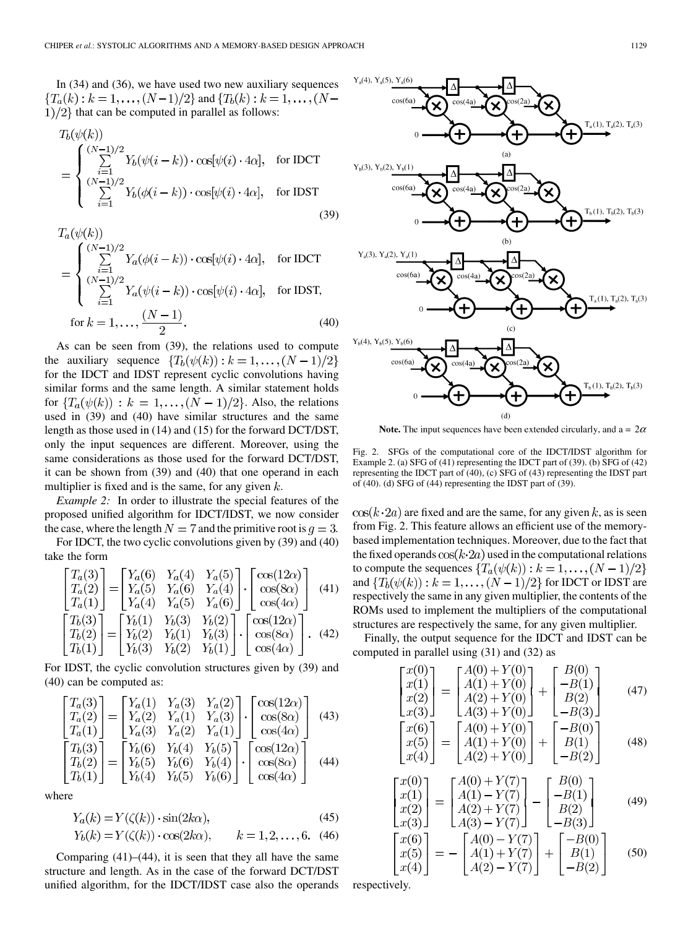In (34) and (36), we have used two new auxiliary sequences  ${T_a(k) : k = 1, ..., (N-1)/2}$  and  ${T_b(k) : k = 1, ..., (N-1)}$  $1/2$  that can be computed in parallel as follows:

$$
T_b(\psi(k))
$$
  
= 
$$
\begin{cases} \sum_{i=1}^{(N-1)/2} Y_b(\psi(i-k)) \cdot \cos[\psi(i) \cdot 4\alpha], & \text{for IDCT} \\ \sum_{i=1}^{(N-1)/2} Y_b(\phi(i-k)) \cdot \cos[\psi(i) \cdot 4\alpha], & \text{for IDST} \end{cases}
$$
(39)

$$
T_a(\psi(k))
$$
  
= 
$$
\begin{cases} \sum_{i=1}^{(N-1)/2} Y_a(\phi(i-k)) \cdot \cos[\psi(i) \cdot 4\alpha], & \text{for IDCT} \\ \sum_{i=1}^{(N-1)/2} Y_a(\psi(i-k)) \cdot \cos[\psi(i) \cdot 4\alpha], & \text{for IDST,} \\ \text{for } k = 1, \dots, \frac{(N-1)}{2} . \end{cases}
$$
 (40)

As can be seen from (39), the relations used to compute the auxiliary sequence  $\{T_b(\psi(k)) : k = 1, \ldots, (N-1)/2\}$ for the IDCT and IDST represent cyclic convolutions having similar forms and the same length. A similar statement holds for  $\{T_a(\psi(k)) : k = 1, \ldots, (N-1)/2\}$ . Also, the relations used in (39) and (40) have similar structures and the same length as those used in (14) and (15) for the forward DCT/DST, only the input sequences are different. Moreover, using the same considerations as those used for the forward DCT/DST, it can be shown from (39) and (40) that one operand in each multiplier is fixed and is the same, for any given  $k$ .

*Example 2:* In order to illustrate the special features of the proposed unified algorithm for IDCT/IDST, we now consider the case, where the length  $N = 7$  and the primitive root is  $q = 3$ .

For IDCT, the two cyclic convolutions given by (39) and (40) take the form

$$
\begin{bmatrix}\nT_a(3) \\
T_a(2) \\
T_a(1)\n\end{bmatrix} =\n\begin{bmatrix}\nY_a(6) & Y_a(4) & Y_a(5) \\
Y_a(5) & Y_a(6) & Y_a(4) \\
Y_a(4) & Y_a(5) & Y_a(6)\n\end{bmatrix} \cdot\n\begin{bmatrix}\n\cos(12\alpha) \\
\cos(8\alpha) \\
\cos(4\alpha)\n\end{bmatrix}
$$
\n(41)\n  
\n
$$
\begin{bmatrix}\nT_b(3) \\
T_b(2) \\
T_b(1)\n\end{bmatrix} =\n\begin{bmatrix}\nY_b(1) & Y_b(3) & Y_b(2) \\
Y_b(2) & Y_b(1) & Y_b(3) \\
Y_b(3) & Y_b(2) & Y_b(1)\n\end{bmatrix} \cdot\n\begin{bmatrix}\n\cos(12\alpha) \\
\cos(8\alpha) \\
\cos(4\alpha)\n\end{bmatrix}.
$$
\n(42)

For IDST, the cyclic convolution structures given by (39) and (40) can be computed as:

$$
\begin{bmatrix}\nT_a(3) \\
T_a(2) \\
T_a(1)\n\end{bmatrix} =\n\begin{bmatrix}\nY_a(1) & Y_a(3) & Y_a(2) \\
Y_a(2) & Y_a(1) & Y_a(3) \\
Y_a(3) & Y_a(2) & Y_a(1)\n\end{bmatrix}\n\cdot\n\begin{bmatrix}\n\cos(12\alpha) \\
\cos(8\alpha) \\
\cos(4\alpha)\n\end{bmatrix}
$$
\n(43)  
\n
$$
\begin{bmatrix}\nT_b(3) \\
T_b(2) \\
T_b(5) & Y_b(6) & Y_b(4) \\
Y_b(4) & Y_b(5) & Y_b(6)\n\end{bmatrix}\n\cdot\n\begin{bmatrix}\n\cos(12\alpha) \\
\cos(8\alpha) \\
\cos(4\alpha)\n\end{bmatrix}
$$
\n(44)

where

$$
Y_a(k) = Y(\zeta(k)) \cdot \sin(2k\alpha),\tag{45}
$$

$$
Y_b(k) = Y(\zeta(k)) \cdot \cos(2k\alpha), \qquad k = 1, 2, ..., 6.
$$
 (46)

Comparing  $(41)$ – $(44)$ , it is seen that they all have the same structure and length. As in the case of the forward DCT/DST unified algorithm, for the IDCT/IDST case also the operands



**Note.** The input sequences have been extended circularly, and  $a = 2\alpha$ 

Fig. 2. SFGs of the computational core of the IDCT/IDST algorithm for Example 2. (a) SFG of (41) representing the IDCT part of (39). (b) SFG of (42) representing the IDCT part of (40), (c) SFG of (43) representing the IDST part of (40). (d) SFG of (44) representing the IDST part of (39).

 $\cos(k \cdot 2a)$  are fixed and are the same, for any given k, as is seen from Fig. 2. This feature allows an efficient use of the memorybased implementation techniques. Moreover, due to the fact that the fixed operands  $\cos(k \cdot 2a)$  used in the computational relations to compute the sequences  $\{T_a(\psi(k)) : k = 1, \ldots, (N-1)/2\}$ and  $\{T_b(\psi(k)) : k = 1, \ldots, (N-1)/2\}$  for IDCT or IDST are respectively the same in any given multiplier, the contents of the ROMs used to implement the multipliers of the computational structures are respectively the same, for any given multiplier.

Finally, the output sequence for the IDCT and IDST can be computed in parallel using (31) and (32) as

$$
\begin{bmatrix} x(0) \\ x(1) \\ x(2) \\ x(3) \end{bmatrix} = \begin{bmatrix} A(0) + Y(0) \\ A(1) + Y(0) \\ A(2) + Y(0) \\ A(3) + Y(0) \end{bmatrix} + \begin{bmatrix} B(0) \\ -B(1) \\ B(2) \\ -B(3) \end{bmatrix}
$$
(47)  

$$
\begin{bmatrix} x(6) \\ x(5) \\ x(4) \end{bmatrix} = \begin{bmatrix} A(0) + Y(0) \\ A(1) + Y(0) \\ A(2) + Y(0) \end{bmatrix} + \begin{bmatrix} -B(0) \\ B(1) \\ -B(2) \end{bmatrix}
$$
(48)

$$
\begin{bmatrix} x(0) \\ x(1) \\ x(2) \\ x(3) \end{bmatrix} = \begin{bmatrix} A(0) + Y(7) \\ A(1) - Y(7) \\ A(2) + Y(7) \\ A(3) & Y(7) \end{bmatrix} - \begin{bmatrix} B(0) \\ -B(1) \\ B(2) \\ B(3) \end{bmatrix}
$$
(49)

$$
\begin{bmatrix} x(3) & \lfloor A(3) - Y(7) \rfloor & \lfloor -B(3) \rfloor \\ x(6) & \lfloor x(6) \rfloor \\ x(5) & \lfloor A(1) + Y(7) \rfloor \\ x(4) & \end{bmatrix} = - \begin{bmatrix} A(0) - Y(7) \\ A(1) + Y(7) \\ A(2) - Y(7) \end{bmatrix} + \begin{bmatrix} -B(0) \\ B(1) \\ -B(2) \end{bmatrix} \tag{50}
$$

respectively.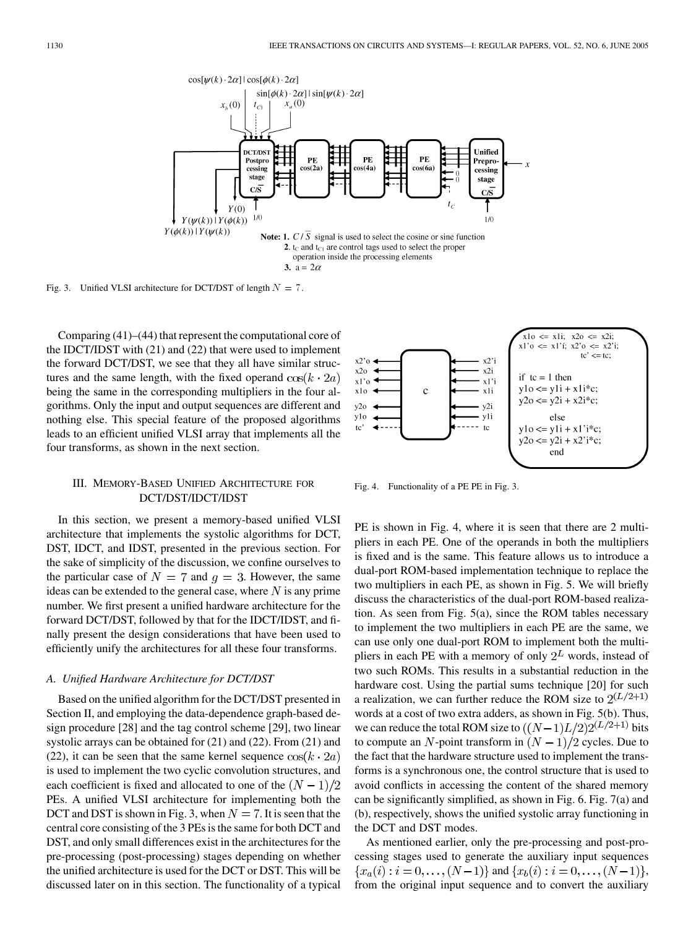

Fig. 3. Unified VLSI architecture for DCT/DST of length  $N = 7$ .

Comparing (41)–(44) that represent the computational core of the IDCT/IDST with (21) and (22) that were used to implement the forward DCT/DST, we see that they all have similar structures and the same length, with the fixed operand  $cos(k \cdot 2a)$ being the same in the corresponding multipliers in the four algorithms. Only the input and output sequences are different and nothing else. This special feature of the proposed algorithms leads to an efficient unified VLSI array that implements all the four transforms, as shown in the next section.

# III. MEMORY-BASED UNIFIED ARCHITECTURE FOR DCT/DST/IDCT/IDST

In this section, we present a memory-based unified VLSI architecture that implements the systolic algorithms for DCT, DST, IDCT, and IDST, presented in the previous section. For the sake of simplicity of the discussion, we confine ourselves to the particular case of  $N = 7$  and  $q = 3$ . However, the same ideas can be extended to the general case, where  $N$  is any prime number. We first present a unified hardware architecture for the forward DCT/DST, followed by that for the IDCT/IDST, and finally present the design considerations that have been used to efficiently unify the architectures for all these four transforms.

#### *A. Unified Hardware Architecture for DCT/DST*

Based on the unified algorithm for the DCT/DST presented in Section II, and employing the data-dependence graph-based design procedure [\[28](#page-11-0)] and the tag control scheme [\[29](#page-11-0)], two linear systolic arrays can be obtained for (21) and (22). From (21) and (22), it can be seen that the same kernel sequence  $\cos(k \cdot 2a)$ is used to implement the two cyclic convolution structures, and each coefficient is fixed and allocated to one of the  $(N - 1)/2$ PEs. A unified VLSI architecture for implementing both the DCT and DST is shown in Fig. 3, when  $N = 7$ . It is seen that the central core consisting of the 3 PEs is the same for both DCT and DST, and only small differences exist in the architectures for the pre-processing (post-processing) stages depending on whether the unified architecture is used for the DCT or DST. This will be discussed later on in this section. The functionality of a typical



Fig. 4. Functionality of a PE PE in Fig. 3.

PE is shown in Fig. 4, where it is seen that there are 2 multipliers in each PE. One of the operands in both the multipliers is fixed and is the same. This feature allows us to introduce a dual-port ROM-based implementation technique to replace the two multipliers in each PE, as shown in Fig. 5. We will briefly discuss the characteristics of the dual-port ROM-based realization. As seen from Fig. 5(a), since the ROM tables necessary to implement the two multipliers in each PE are the same, we can use only one dual-port ROM to implement both the multipliers in each PE with a memory of only  $2^L$  words, instead of two such ROMs. This results in a substantial reduction in the hardware cost. Using the partial sums technique [\[20](#page-11-0)] for such a realization, we can further reduce the ROM size to  $2^{(L/2+1)}$ words at a cost of two extra adders, as shown in Fig. 5(b). Thus, we can reduce the total ROM size to  $((N-1)L/2)2^{(L/2+1)}$  bits to compute an N-point transform in  $(N-1)/2$  cycles. Due to the fact that the hardware structure used to implement the transforms is a synchronous one, the control structure that is used to avoid conflicts in accessing the content of the shared memory can be significantly simplified, as shown in Fig. 6. Fig. 7(a) and (b), respectively, shows the unified systolic array functioning in the DCT and DST modes.

As mentioned earlier, only the pre-processing and post-processing stages used to generate the auxiliary input sequences  ${x_a(i) : i = 0, \ldots, (N-1)}$  and  ${x_b(i) : i = 0, \ldots, (N-1)}$ , from the original input sequence and to convert the auxiliary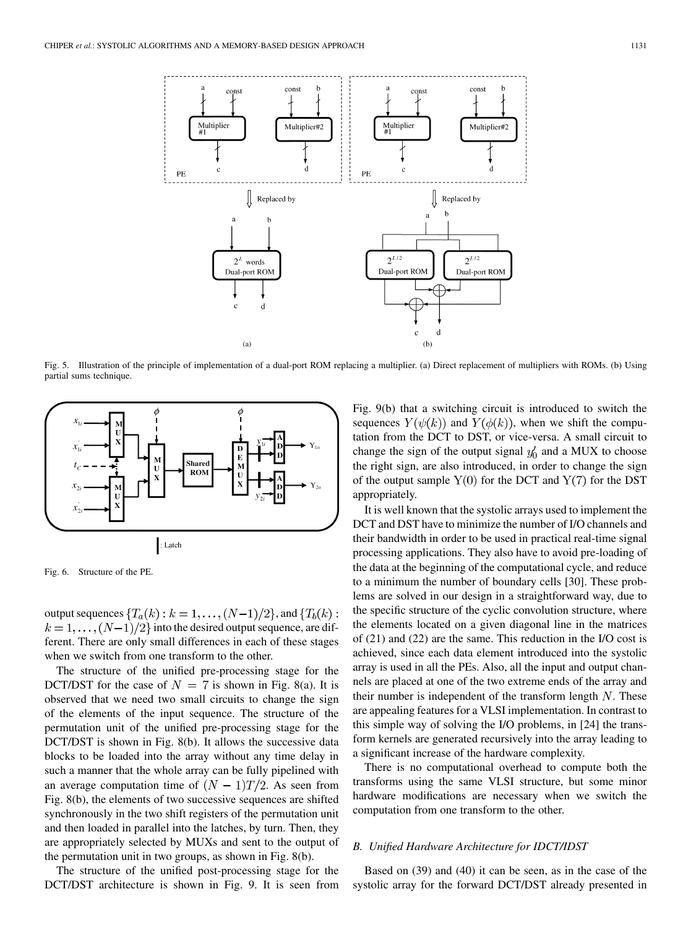

Fig. 5. Illustration of the principle of implementation of a dual-port ROM replacing a multiplier. (a) Direct replacement of multipliers with ROMs. (b) Using partial sums technique.



Fig. 6. Structure of the PE.

output sequences  $\{T_a(k): k = 1, \ldots, (N-1)/2\}$ , and  $\{T_b(k):$  $k = 1, \ldots, (N-1)/2$  into the desired output sequence, are different. There are only small differences in each of these stages when we switch from one transform to the other.

The structure of the unified pre-processing stage for the DCT/DST for the case of  $N = 7$  is shown in Fig. 8(a). It is observed that we need two small circuits to change the sign of the elements of the input sequence. The structure of the permutation unit of the unified pre-processing stage for the DCT/DST is shown in Fig. 8(b). It allows the successive data blocks to be loaded into the array without any time delay in such a manner that the whole array can be fully pipelined with an average computation time of  $(N - 1)T/2$ . As seen from Fig. 8(b), the elements of two successive sequences are shifted synchronously in the two shift registers of the permutation unit and then loaded in parallel into the latches, by turn. Then, they are appropriately selected by MUXs and sent to the output of the permutation unit in two groups, as shown in Fig. 8(b).

The structure of the unified post-processing stage for the DCT/DST architecture is shown in Fig. 9. It is seen from Fig. 9(b) that a switching circuit is introduced to switch the sequences  $Y(\psi(k))$  and  $Y(\phi(k))$ , when we shift the computation from the DCT to DST, or vice-versa. A small circuit to change the sign of the output signal  $y'_0$  and a MUX to choose the right sign, are also introduced, in order to change the sign of the output sample  $Y(0)$  for the DCT and  $Y(7)$  for the DST appropriately.

It is well known that the systolic arrays used to implement the DCT and DST have to minimize the number of I/O channels and their bandwidth in order to be used in practical real-time signal processing applications. They also have to avoid pre-loading of the data at the beginning of the computational cycle, and reduce to a minimum the number of boundary cells [\[30](#page-11-0)]. These problems are solved in our design in a straightforward way, due to the specific structure of the cyclic convolution structure, where the elements located on a given diagonal line in the matrices of (21) and (22) are the same. This reduction in the I/O cost is achieved, since each data element introduced into the systolic array is used in all the PEs. Also, all the input and output channels are placed at one of the two extreme ends of the array and their number is independent of the transform length  $N$ . These are appealing features for a VLSI implementation. In contrast to this simple way of solving the I/O problems, in [\[24](#page-11-0)] the transform kernels are generated recursively into the array leading to a significant increase of the hardware complexity.

There is no computational overhead to compute both the transforms using the same VLSI structure, but some minor hardware modifications are necessary when we switch the computation from one transform to the other.

#### *B. Unified Hardware Architecture for IDCT/IDST*

Based on (39) and (40) it can be seen, as in the case of the systolic array for the forward DCT/DST already presented in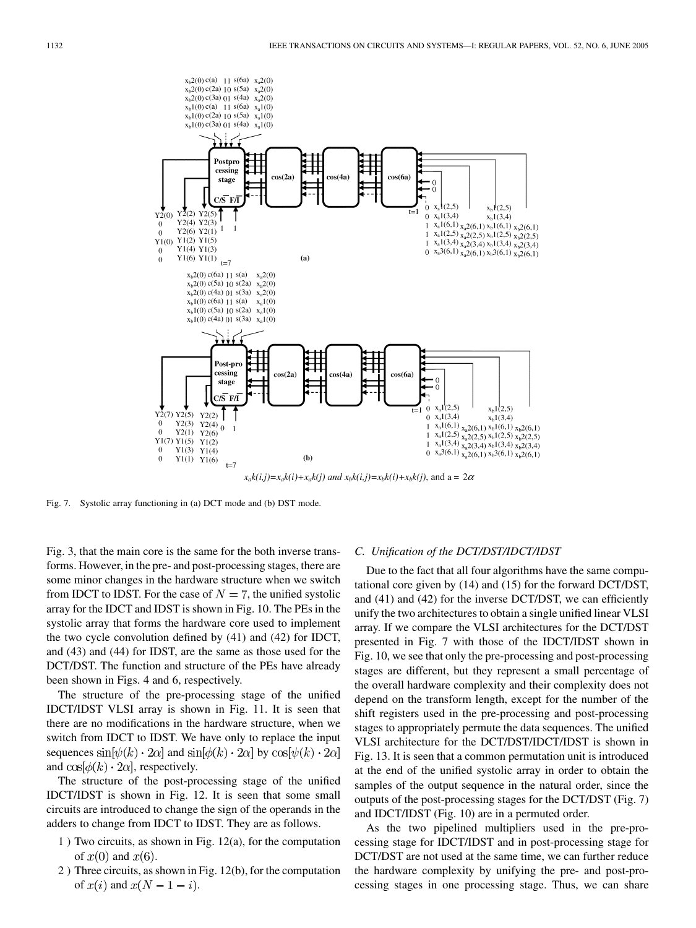

 $x_a k(i,j) = x_a k(i) + x_a k(j)$  and  $x_b k(i,j) = x_b k(i) + x_b k(j)$ , and  $a = 2\alpha$ 

Fig. 7. Systolic array functioning in (a) DCT mode and (b) DST mode.

Fig. 3, that the main core is the same for the both inverse transforms. However, in the pre- and post-processing stages, there are some minor changes in the hardware structure when we switch from IDCT to IDST. For the case of  $N = 7$ , the unified systolic array for the IDCT and IDST is shown in Fig. 10. The PEs in the systolic array that forms the hardware core used to implement the two cycle convolution defined by (41) and (42) for IDCT, and (43) and (44) for IDST, are the same as those used for the DCT/DST. The function and structure of the PEs have already been shown in Figs. 4 and 6, respectively.

The structure of the pre-processing stage of the unified IDCT/IDST VLSI array is shown in Fig. 11. It is seen that there are no modifications in the hardware structure, when we switch from IDCT to IDST. We have only to replace the input sequences  $\sin[\psi(k) \cdot 2\alpha]$  and  $\sin[\phi(k) \cdot 2\alpha]$  by  $\cos[\psi(k) \cdot 2\alpha]$ and  $\cos[\phi(k) \cdot 2\alpha]$ , respectively.

The structure of the post-processing stage of the unified IDCT/IDST is shown in Fig. 12. It is seen that some small circuits are introduced to change the sign of the operands in the adders to change from IDCT to IDST. They are as follows.

- 1 ) Two circuits, as shown in Fig. 12(a), for the computation of  $x(0)$  and  $x(6)$ .
- 2 ) Three circuits, as shown in Fig. 12(b), for the computation of  $x(i)$  and  $x(N-1-i)$ .

#### *C. Unification of the DCT/DST/IDCT/IDST*

Due to the fact that all four algorithms have the same computational core given by (14) and (15) for the forward DCT/DST, and (41) and (42) for the inverse DCT/DST, we can efficiently unify the two architectures to obtain a single unified linear VLSI array. If we compare the VLSI architectures for the DCT/DST presented in Fig. 7 with those of the IDCT/IDST shown in Fig. 10, we see that only the pre-processing and post-processing stages are different, but they represent a small percentage of the overall hardware complexity and their complexity does not depend on the transform length, except for the number of the shift registers used in the pre-processing and post-processing stages to appropriately permute the data sequences. The unified VLSI architecture for the DCT/DST/IDCT/IDST is shown in Fig. 13. It is seen that a common permutation unit is introduced at the end of the unified systolic array in order to obtain the samples of the output sequence in the natural order, since the outputs of the post-processing stages for the DCT/DST (Fig. 7) and IDCT/IDST (Fig. 10) are in a permuted order.

As the two pipelined multipliers used in the pre-processing stage for IDCT/IDST and in post-processing stage for DCT/DST are not used at the same time, we can further reduce the hardware complexity by unifying the pre- and post-processing stages in one processing stage. Thus, we can share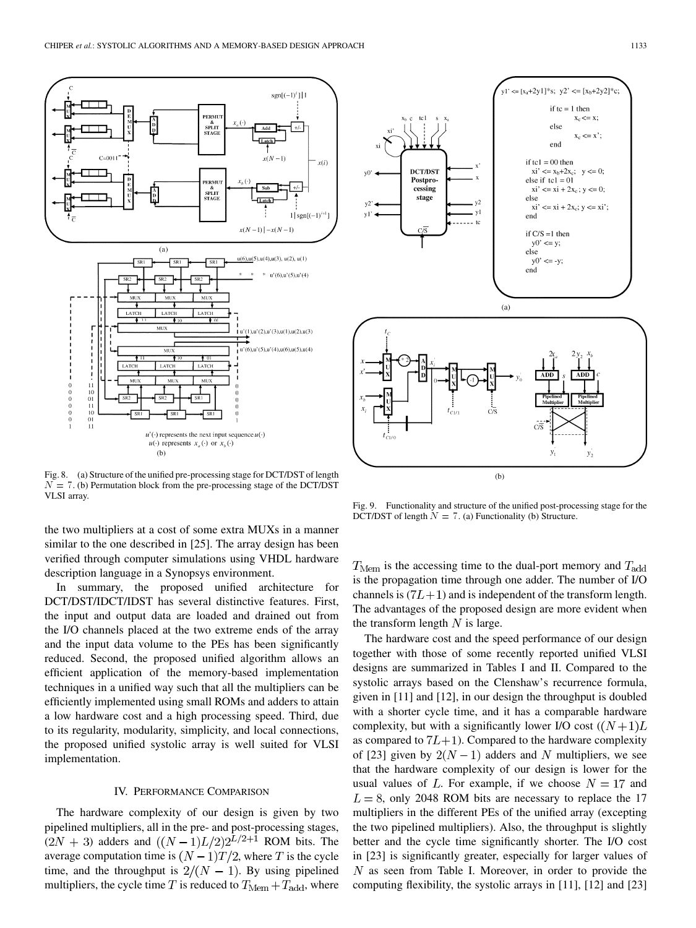

Fig. 8. (a) Structure of the unified pre-processing stage for DCT/DST of length  $N = 7$ . (b) Permutation block from the pre-processing stage of the DCT/DST VLSI array.

the two multipliers at a cost of some extra MUXs in a manner similar to the one described in [[25\]](#page-11-0). The array design has been verified through computer simulations using VHDL hardware description language in a Synopsys environment.

In summary, the proposed unified architecture for DCT/DST/IDCT/IDST has several distinctive features. First, the input and output data are loaded and drained out from the I/O channels placed at the two extreme ends of the array and the input data volume to the PEs has been significantly reduced. Second, the proposed unified algorithm allows an efficient application of the memory-based implementation techniques in a unified way such that all the multipliers can be efficiently implemented using small ROMs and adders to attain a low hardware cost and a high processing speed. Third, due to its regularity, modularity, simplicity, and local connections, the proposed unified systolic array is well suited for VLSI implementation.

## IV. PERFORMANCE COMPARISON

The hardware complexity of our design is given by two pipelined multipliers, all in the pre- and post-processing stages,  $(2N + 3)$  adders and  $((N-1)L/2)2^{L/2+1}$  ROM bits. The average computation time is  $(N - 1)T/2$ , where T is the cycle time, and the throughput is  $2/(N - 1)$ . By using pipelined multipliers, the cycle time T is reduced to  $T_{\text{Mem}} + T_{\text{add}}$ , where



Fig. 9. Functionality and structure of the unified post-processing stage for the DCT/DST of length  $N = 7$ . (a) Functionality (b) Structure.

 $T_{\text{Mem}}$  is the accessing time to the dual-port memory and  $T_{\text{add}}$ is the propagation time through one adder. The number of I/O channels is  $(7L+1)$  and is independent of the transform length. The advantages of the proposed design are more evident when the transform length  $N$  is large.

The hardware cost and the speed performance of our design together with those of some recently reported unified VLSI designs are summarized in Tables I and II. Compared to the systolic arrays based on the Clenshaw's recurrence formula, given in [\[11](#page-11-0)] and [[12\]](#page-11-0), in our design the throughput is doubled with a shorter cycle time, and it has a comparable hardware complexity, but with a significantly lower I/O cost  $((N+1)L)$ as compared to  $7L+1$ ). Compared to the hardware complexity of [\[23](#page-11-0)] given by  $2(N-1)$  adders and N multipliers, we see that the hardware complexity of our design is lower for the usual values of L. For example, if we choose  $N = 17$  and  $L = 8$ , only 2048 ROM bits are necessary to replace the 17 multipliers in the different PEs of the unified array (excepting the two pipelined multipliers). Also, the throughput is slightly better and the cycle time significantly shorter. The I/O cost in [[23\]](#page-11-0) is significantly greater, especially for larger values of  $N$  as seen from Table I. Moreover, in order to provide the computing flexibility, the systolic arrays in [[11\]](#page-11-0), [\[12\]](#page-11-0) and [[23\]](#page-11-0)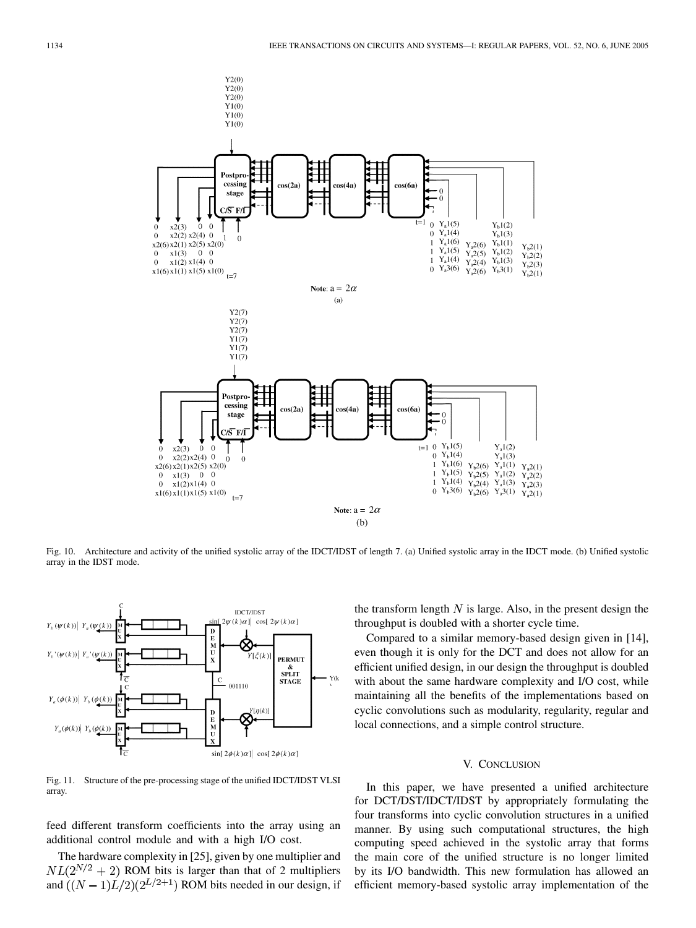

Fig. 10. Architecture and activity of the unified systolic array of the IDCT/IDST of length 7. (a) Unified systolic array in the IDCT mode. (b) Unified systolic array in the IDST mode.



Fig. 11. Structure of the pre-processing stage of the unified IDCT/IDST VLSI array.

feed different transform coefficients into the array using an additional control module and with a high I/O cost.

The hardware complexity in [\[25](#page-11-0)], given by one multiplier and  $NL(2^{N/2} + 2)$  ROM bits is larger than that of 2 multipliers and  $((N-1)L/2)(2^{L/2+1})$  ROM bits needed in our design, if the transform length  $N$  is large. Also, in the present design the throughput is doubled with a shorter cycle time.

Compared to a similar memory-based design given in [[14\]](#page-11-0), even though it is only for the DCT and does not allow for an efficient unified design, in our design the throughput is doubled with about the same hardware complexity and I/O cost, while maintaining all the benefits of the implementations based on cyclic convolutions such as modularity, regularity, regular and local connections, and a simple control structure.

## V. CONCLUSION

In this paper, we have presented a unified architecture for DCT/DST/IDCT/IDST by appropriately formulating the four transforms into cyclic convolution structures in a unified manner. By using such computational structures, the high computing speed achieved in the systolic array that forms the main core of the unified structure is no longer limited by its I/O bandwidth. This new formulation has allowed an efficient memory-based systolic array implementation of the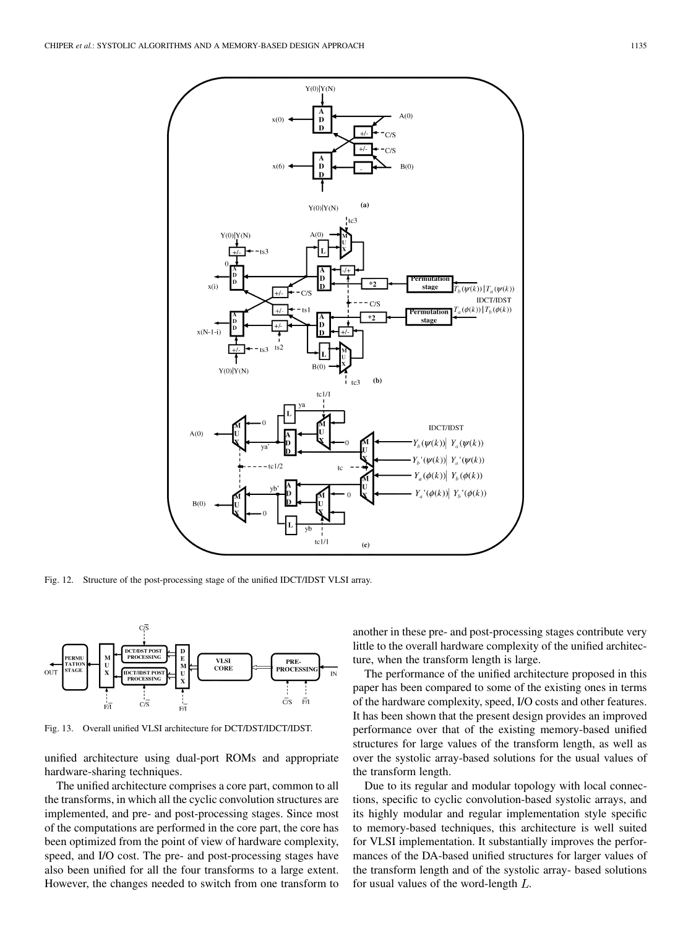

Fig. 12. Structure of the post-processing stage of the unified IDCT/IDST VLSI array.



Fig. 13. Overall unified VLSI architecture for DCT/DST/IDCT/IDST.

unified architecture using dual-port ROMs and appropriate hardware-sharing techniques.

The unified architecture comprises a core part, common to all the transforms, in which all the cyclic convolution structures are implemented, and pre- and post-processing stages. Since most of the computations are performed in the core part, the core has been optimized from the point of view of hardware complexity, speed, and I/O cost. The pre- and post-processing stages have also been unified for all the four transforms to a large extent. However, the changes needed to switch from one transform to

another in these pre- and post-processing stages contribute very little to the overall hardware complexity of the unified architecture, when the transform length is large.

The performance of the unified architecture proposed in this paper has been compared to some of the existing ones in terms of the hardware complexity, speed, I/O costs and other features. It has been shown that the present design provides an improved performance over that of the existing memory-based unified structures for large values of the transform length, as well as over the systolic array-based solutions for the usual values of the transform length.

Due to its regular and modular topology with local connections, specific to cyclic convolution-based systolic arrays, and its highly modular and regular implementation style specific to memory-based techniques, this architecture is well suited for VLSI implementation. It substantially improves the performances of the DA-based unified structures for larger values of the transform length and of the systolic array- based solutions for usual values of the word-length  $L$ .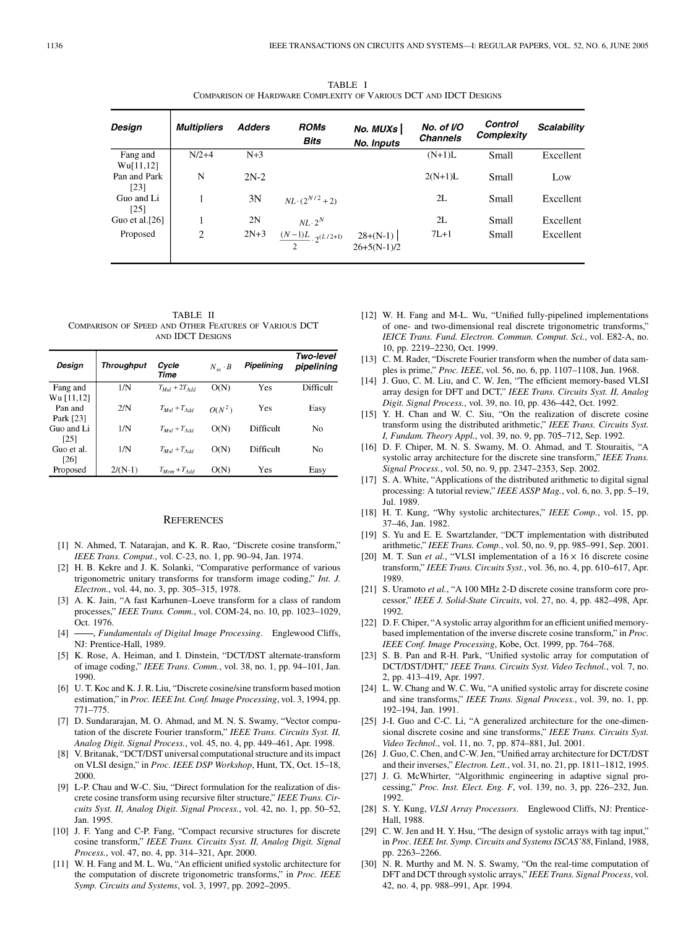TABLE I COMPARISON OF HARDWARE COMPLEXITY OF VARIOUS DCT AND IDCT DESIGNS

<span id="page-11-0"></span>

| Design                | <b>Multipliers</b> | <b>Adders</b> | <b>ROMs</b><br>Bits                       | No. MUXs<br><b>No. Inputs</b> | No. of I/O<br><b>Channels</b> | Control<br>Complexity | Scalability |
|-----------------------|--------------------|---------------|-------------------------------------------|-------------------------------|-------------------------------|-----------------------|-------------|
| Fang and<br>Wu[11,12] | $N/2+4$            | $N+3$         |                                           |                               | $(N+1)L$                      | Small                 | Excellent   |
| Pan and Park<br>[23]  | N                  | $2N-2$        |                                           |                               | $2(N+1)L$                     | Small                 | Low         |
| Guo and Li<br>[25]    |                    | 3N            | $NL \cdot (2^{N/2} + 2)$                  |                               | 2L                            | Small                 | Excellent   |
| Guo et al. $[26]$     |                    | 2N            | $NL \cdot 2^N$                            |                               | 2L                            | Small                 | Excellent   |
| Proposed              | 2                  | $2N+3$        | $\frac{(N-1)L}{2}$ . 2 <sup>(L/2+1)</sup> | $28+(N-1)$<br>$26+5(N-1)/2$   | $7L+1$                        | Small                 | Excellent   |

TABLE II COMPARISON OF SPEED AND OTHER FEATURES OF VARIOUS DCT AND IDCT DESIGNS

| Design                             | <b>Throughput</b> | Cycle<br>Time            | $N_{in} \cdot B$ | Pipelining | Two-level<br>pipelining |
|------------------------------------|-------------------|--------------------------|------------------|------------|-------------------------|
| Fang and                           | 1/N               | $T_{Mul} + 2T_{Add}$     | O(N)             | Yes        | Difficult               |
| Wu [11,12]<br>Pan and<br>Park [23] | 2/N               | $T_{Mul} + T_{Add}$      | $O(N^2)$         | Yes        | Easy                    |
| Guo and Li                         | 1/N               | $T_{Mul} + T_{Add}$      | O(N)             | Difficult  | No                      |
| [25]<br>Guo et al.<br>[26]         | 1/N               | $T_{Mul} + T_{Add}$      | O(N)             | Difficult  | No                      |
| Proposed                           | $2/(N-1)$         | $T_{M \rho m} + T_{Add}$ | O(N)             | Yes        | Easy                    |

## **REFERENCES**

- [1] N. Ahmed, T. Natarajan, and K. R. Rao, "Discrete cosine transform," *IEEE Trans. Comput.*, vol. C-23, no. 1, pp. 90–94, Jan. 1974.
- [2] H. B. Kekre and J. K. Solanki, "Comparative performance of various trigonometric unitary transforms for transform image coding," *Int. J. Electron.*, vol. 44, no. 3, pp. 305–315, 1978.
- [3] A. K. Jain, "A fast Karhunen–Loeve transform for a class of random processes," *IEEE Trans. Comm.*, vol. COM-24, no. 10, pp. 1023–1029, Oct. 1976.
- [4]  $\rightarrow$ , *Fundamentals of Digital Image Processing*. Englewood Cliffs, NJ: Prentice-Hall, 1989.
- [5] K. Rose, A. Heiman, and I. Dinstein, "DCT/DST alternate-transform of image coding," *IEEE Trans. Comm.*, vol. 38, no. 1, pp. 94–101, Jan. 1990.
- [6] U. T. Koc and K. J. R. Liu, "Discrete cosine/sine transform based motion estimation," in *Proc. IEEE Int. Conf. Image Processing*, vol. 3, 1994, pp. 771–775.
- [7] D. Sundararajan, M. O. Ahmad, and M. N. S. Swamy, "Vector computation of the discrete Fourier transform," *IEEE Trans. Circuits Syst. II, Analog Digit. Signal Process.*, vol. 45, no. 4, pp. 449–461, Apr. 1998.
- [8] V. Britanak, "DCT/DST universal computational structure and its impact on VLSI design," in *Proc. IEEE DSP Workshop*, Hunt, TX, Oct. 15–18, 2000.
- [9] L-P. Chau and W-C. Siu, "Direct formulation for the realization of discrete cosine transform using recursive filter structure," *IEEE Trans. Circuits Syst. II, Analog Digit. Signal Process.*, vol. 42, no. 1, pp. 50–52, Jan. 1995.
- [10] J. F. Yang and C-P. Fang, "Compact recursive structures for discrete cosine transform," *IEEE Trans. Circuits Syst. II, Analog Digit. Signal Process.*, vol. 47, no. 4, pp. 314–321, Apr. 2000.
- [11] W. H. Fang and M. L. Wu, "An efficient unified systolic architecture for the computation of discrete trigonometric transforms," in *Proc. IEEE Symp. Circuits and Systems*, vol. 3, 1997, pp. 2092–2095.
- [12] W. H. Fang and M-L. Wu, "Unified fully-pipelined implementations of one- and two-dimensional real discrete trigonometric transforms," *IEICE Trans. Fund. Electron. Commun. Comput. Sci.*, vol. E82-A, no. 10, pp. 2219–2230, Oct. 1999.
- [13] C. M. Rader, "Discrete Fourier transform when the number of data samples is prime," *Proc. IEEE*, vol. 56, no. 6, pp. 1107–1108, Jun. 1968.
- [14] J. Guo, C. M. Liu, and C. W. Jen, "The efficient memory-based VLSI array design for DFT and DCT," *IEEE Trans. Circuits Syst. II, Analog Digit. Signal Process.*, vol. 39, no. 10, pp. 436–442, Oct. 1992.
- [15] Y. H. Chan and W. C. Siu, "On the realization of discrete cosine transform using the distributed arithmetic," *IEEE Trans. Circuits Syst. I, Fundam. Theory Appl.*, vol. 39, no. 9, pp. 705–712, Sep. 1992.
- [16] D. F. Chiper, M. N. S. Swamy, M. O. Ahmad, and T. Stouraitis, "A systolic array architecture for the discrete sine transform," *IEEE Trans. Signal Process.*, vol. 50, no. 9, pp. 2347–2353, Sep. 2002.
- [17] S. A. White, "Applications of the distributed arithmetic to digital signal processing: A tutorial review," *IEEE ASSP Mag.*, vol. 6, no. 3, pp. 5–19, Jul. 1989.
- [18] H. T. Kung, "Why systolic architectures," *IEEE Comp.*, vol. 15, pp. 37–46, Jan. 1982.
- [19] S. Yu and E. E. Swartzlander, "DCT implementation with distributed arithmetic," *IEEE Trans. Comp.*, vol. 50, no. 9, pp. 985–991, Sep. 2001.
- [20] M. T. Sun *et al.*, "VLSI implementation of a  $16 \times 16$  discrete cosine transform," *IEEE Trans. Circuits Syst.*, vol. 36, no. 4, pp. 610–617, Apr. 1989.
- [21] S. Uramoto *et al.*, "A 100 MHz 2-D discrete cosine transform core processor," *IEEE J. Solid-State Circuits*, vol. 27, no. 4, pp. 482–498, Apr. 1992.
- [22] D. F. Chiper, "A systolic array algorithm for an efficient unified memorybased implementation of the inverse discrete cosine transform," in *Proc. IEEE Conf. Image Processing*, Kobe, Oct. 1999, pp. 764–768.
- [23] S. B. Pan and R-H. Park, "Unified systolic array for computation of DCT/DST/DHT," *IEEE Trans. Circuits Syst. Video Technol.*, vol. 7, no. 2, pp. 413–419, Apr. 1997.
- [24] L. W. Chang and W. C. Wu, "A unified systolic array for discrete cosine and sine transforms," *IEEE Trans. Signal Process.*, vol. 39, no. 1, pp. 192–194, Jan. 1991.
- [25] J-I. Guo and C-C. Li, "A generalized architecture for the one-dimensional discrete cosine and sine transforms," *IEEE Trans. Circuits Syst. Video Technol.*, vol. 11, no. 7, pp. 874–881, Jul. 2001.
- [26] J. Guo, C. Chen, and C-W. Jen, "Unified array architecture for DCT/DST and their inverses," *Electron. Lett.*, vol. 31, no. 21, pp. 1811–1812, 1995.
- [27] J. G. McWhirter, "Algorithmic engineering in adaptive signal processing," *Proc. Inst. Elect. Eng. F*, vol. 139, no. 3, pp. 226–232, Jun. 1992.
- [28] S. Y. Kung, *VLSI Array Processors*. Englewood Cliffs, NJ: Prentice-Hall, 1988.
- [29] C. W. Jen and H. Y. Hsu, "The design of systolic arrays with tag input," in *Proc. IEEE Int. Symp. Circuits and Systems ISCAS'88*, Finland, 1988, pp. 2263–2266.
- [30] N. R. Murthy and M. N. S. Swamy, "On the real-time computation of DFT and DCT through systolic arrays," *IEEE Trans. Signal Process*, vol. 42, no. 4, pp. 988–991, Apr. 1994.